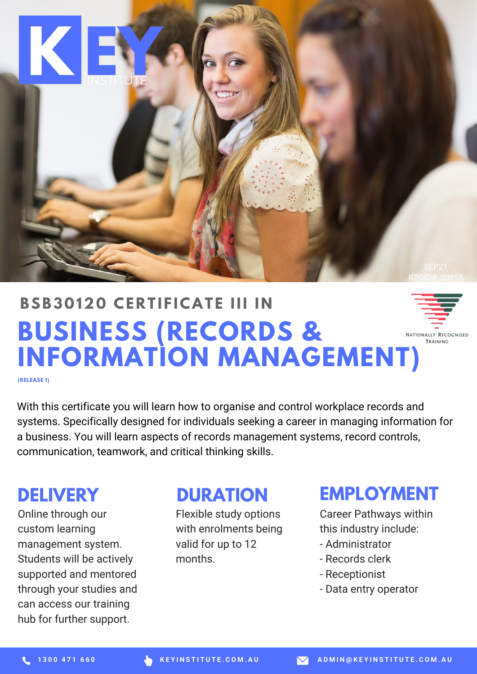

#### **BSB3 0 120 CE R T I F ICAT E III I N BUSINESS (RECORDS &** NATIONALLY RECOGNISED TRAINING **INFORMATION MANAGEMENT)**

**(RELEASE 1)**

With this certificate you will learn how to organise and control workplace records and systems. Specifically designed for individuals seeking a career in managing information for a business. You will learn aspects of records management systems, record controls, communication, teamwork, and critical thinking skills.

## **DELIVERY**

Online through our custom learning management system. Students will be actively supported and mentored through your studies and can access our training hub for further support.

## **DURATION**

Flexible study options with enrolments being valid for up to 12 months.

### **EMPLOYMENT**

Career Pathways within this industry include:

- Administrator
- Records clerk
- Receptionist
- Data entry operator